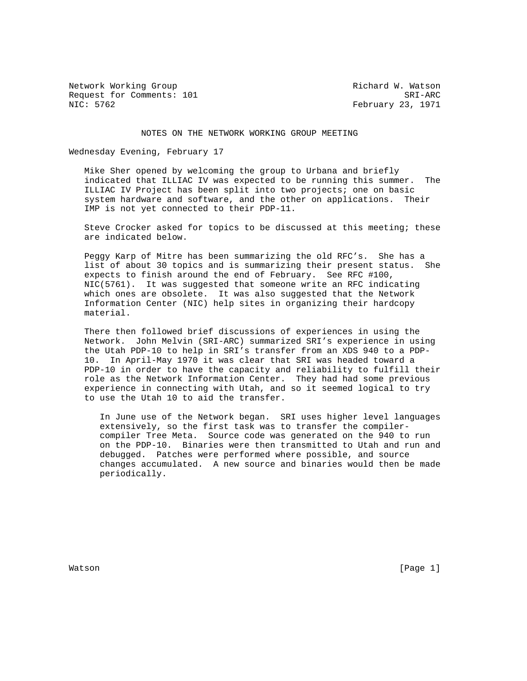Network Working Group and Mathematic Method W. Watson Request for Comments: 101 SRI-ARC<br>NIC: 5762 SRI-ARC

February 23, 1971

## NOTES ON THE NETWORK WORKING GROUP MEETING

Wednesday Evening, February 17

 Mike Sher opened by welcoming the group to Urbana and briefly indicated that ILLIAC IV was expected to be running this summer. The ILLIAC IV Project has been split into two projects; one on basic system hardware and software, and the other on applications. Their IMP is not yet connected to their PDP-11.

 Steve Crocker asked for topics to be discussed at this meeting; these are indicated below.

 Peggy Karp of Mitre has been summarizing the old RFC's. She has a list of about 30 topics and is summarizing their present status. She expects to finish around the end of February. See RFC #100, NIC(5761). It was suggested that someone write an RFC indicating which ones are obsolete. It was also suggested that the Network Information Center (NIC) help sites in organizing their hardcopy material.

 There then followed brief discussions of experiences in using the Network. John Melvin (SRI-ARC) summarized SRI's experience in using the Utah PDP-10 to help in SRI's transfer from an XDS 940 to a PDP- 10. In April-May 1970 it was clear that SRI was headed toward a PDP-10 in order to have the capacity and reliability to fulfill their role as the Network Information Center. They had had some previous experience in connecting with Utah, and so it seemed logical to try to use the Utah 10 to aid the transfer.

 In June use of the Network began. SRI uses higher level languages extensively, so the first task was to transfer the compiler compiler Tree Meta. Source code was generated on the 940 to run on the PDP-10. Binaries were then transmitted to Utah and run and debugged. Patches were performed where possible, and source changes accumulated. A new source and binaries would then be made periodically.

Watson [Page 1]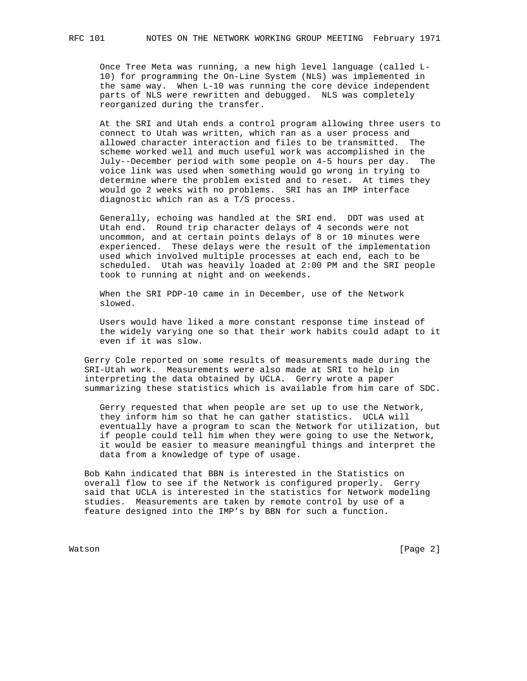Once Tree Meta was running, a new high level language (called L- 10) for programming the On-Line System (NLS) was implemented in the same way. When L-10 was running the core device independent parts of NLS were rewritten and debugged. NLS was completely reorganized during the transfer.

 At the SRI and Utah ends a control program allowing three users to connect to Utah was written, which ran as a user process and allowed character interaction and files to be transmitted. The scheme worked well and much useful work was accomplished in the July--December period with some people on 4-5 hours per day. The voice link was used when something would go wrong in trying to determine where the problem existed and to reset. At times they would go 2 weeks with no problems. SRI has an IMP interface diagnostic which ran as a T/S process.

 Generally, echoing was handled at the SRI end. DDT was used at Utah end. Round trip character delays of 4 seconds were not uncommon, and at certain points delays of 8 or 10 minutes were experienced. These delays were the result of the implementation used which involved multiple processes at each end, each to be scheduled. Utah was heavily loaded at 2:00 PM and the SRI people took to running at night and on weekends.

 When the SRI PDP-10 came in in December, use of the Network slowed.

 Users would have liked a more constant response time instead of the widely varying one so that their work habits could adapt to it even if it was slow.

 Gerry Cole reported on some results of measurements made during the SRI-Utah work. Measurements were also made at SRI to help in interpreting the data obtained by UCLA. Gerry wrote a paper summarizing these statistics which is available from him care of SDC.

 Gerry requested that when people are set up to use the Network, they inform him so that he can gather statistics. UCLA will eventually have a program to scan the Network for utilization, but if people could tell him when they were going to use the Network, it would be easier to measure meaningful things and interpret the data from a knowledge of type of usage.

 Bob Kahn indicated that BBN is interested in the Statistics on overall flow to see if the Network is configured properly. Gerry said that UCLA is interested in the statistics for Network modeling studies. Measurements are taken by remote control by use of a feature designed into the IMP's by BBN for such a function.

Watson [Page 2]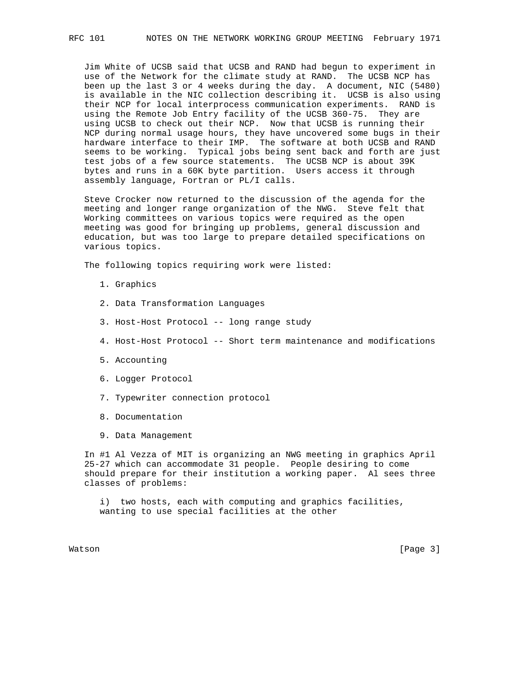Jim White of UCSB said that UCSB and RAND had begun to experiment in use of the Network for the climate study at RAND. The UCSB NCP has been up the last 3 or 4 weeks during the day. A document, NIC (5480) is available in the NIC collection describing it. UCSB is also using their NCP for local interprocess communication experiments. RAND is using the Remote Job Entry facility of the UCSB 360-75. They are using UCSB to check out their NCP. Now that UCSB is running their NCP during normal usage hours, they have uncovered some bugs in their hardware interface to their IMP. The software at both UCSB and RAND seems to be working. Typical jobs being sent back and forth are just test jobs of a few source statements. The UCSB NCP is about 39K bytes and runs in a 60K byte partition. Users access it through assembly language, Fortran or PL/I calls.

 Steve Crocker now returned to the discussion of the agenda for the meeting and longer range organization of the NWG. Steve felt that Working committees on various topics were required as the open meeting was good for bringing up problems, general discussion and education, but was too large to prepare detailed specifications on various topics.

The following topics requiring work were listed:

- 1. Graphics
- 2. Data Transformation Languages
- 3. Host-Host Protocol -- long range study
- 4. Host-Host Protocol -- Short term maintenance and modifications
- 5. Accounting
- 6. Logger Protocol
- 7. Typewriter connection protocol
- 8. Documentation
- 9. Data Management

 In #1 Al Vezza of MIT is organizing an NWG meeting in graphics April 25-27 which can accommodate 31 people. People desiring to come should prepare for their institution a working paper. Al sees three classes of problems:

 i) two hosts, each with computing and graphics facilities, wanting to use special facilities at the other

Watson [Page 3]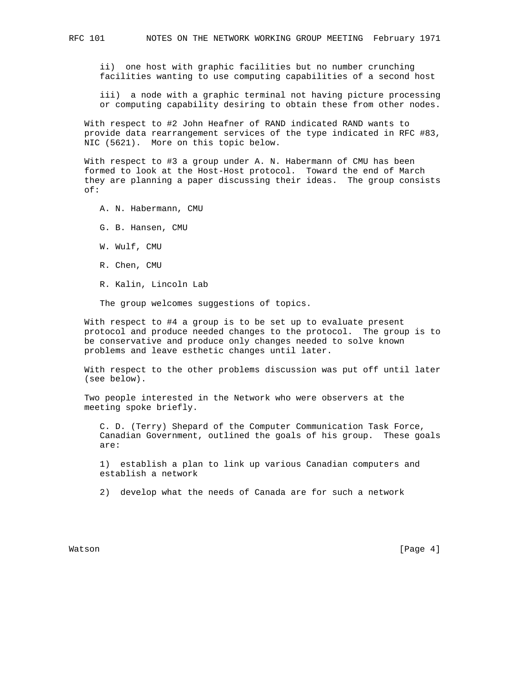ii) one host with graphic facilities but no number crunching facilities wanting to use computing capabilities of a second host

 iii) a node with a graphic terminal not having picture processing or computing capability desiring to obtain these from other nodes.

 With respect to #2 John Heafner of RAND indicated RAND wants to provide data rearrangement services of the type indicated in RFC #83, NIC (5621). More on this topic below.

 With respect to #3 a group under A. N. Habermann of CMU has been formed to look at the Host-Host protocol. Toward the end of March they are planning a paper discussing their ideas. The group consists of:

A. N. Habermann, CMU

- G. B. Hansen, CMU
- W. Wulf, CMU
- R. Chen, CMU
- R. Kalin, Lincoln Lab

The group welcomes suggestions of topics.

 With respect to #4 a group is to be set up to evaluate present protocol and produce needed changes to the protocol. The group is to be conservative and produce only changes needed to solve known problems and leave esthetic changes until later.

 With respect to the other problems discussion was put off until later (see below).

 Two people interested in the Network who were observers at the meeting spoke briefly.

 C. D. (Terry) Shepard of the Computer Communication Task Force, Canadian Government, outlined the goals of his group. These goals are:

 1) establish a plan to link up various Canadian computers and establish a network

2) develop what the needs of Canada are for such a network

Watson [Page 4]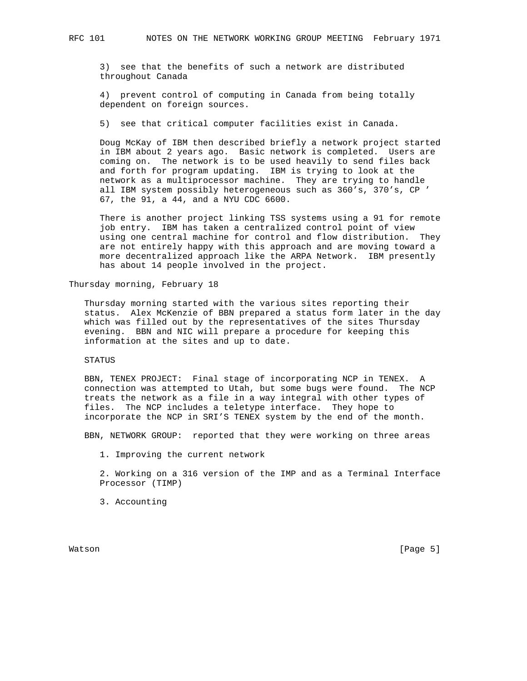3) see that the benefits of such a network are distributed throughout Canada

 4) prevent control of computing in Canada from being totally dependent on foreign sources.

5) see that critical computer facilities exist in Canada.

 Doug McKay of IBM then described briefly a network project started in IBM about 2 years ago. Basic network is completed. Users are coming on. The network is to be used heavily to send files back and forth for program updating. IBM is trying to look at the network as a multiprocessor machine. They are trying to handle all IBM system possibly heterogeneous such as 360's, 370's, CP ' 67, the 91, a 44, and a NYU CDC 6600.

 There is another project linking TSS systems using a 91 for remote job entry. IBM has taken a centralized control point of view using one central machine for control and flow distribution. They are not entirely happy with this approach and are moving toward a more decentralized approach like the ARPA Network. IBM presently has about 14 people involved in the project.

Thursday morning, February 18

 Thursday morning started with the various sites reporting their status. Alex McKenzie of BBN prepared a status form later in the day which was filled out by the representatives of the sites Thursday evening. BBN and NIC will prepare a procedure for keeping this information at the sites and up to date.

## STATUS

 BBN, TENEX PROJECT: Final stage of incorporating NCP in TENEX. A connection was attempted to Utah, but some bugs were found. The NCP treats the network as a file in a way integral with other types of files. The NCP includes a teletype interface. They hope to incorporate the NCP in SRI'S TENEX system by the end of the month.

BBN, NETWORK GROUP: reported that they were working on three areas

1. Improving the current network

 2. Working on a 316 version of the IMP and as a Terminal Interface Processor (TIMP)

3. Accounting

Watson [Page 5]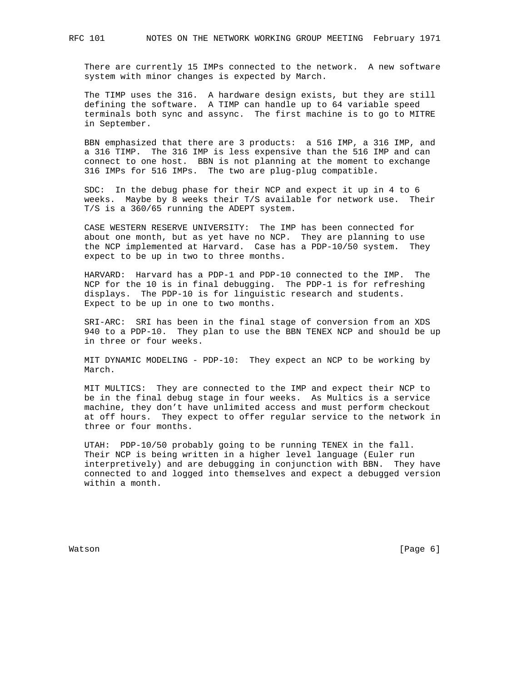There are currently 15 IMPs connected to the network. A new software system with minor changes is expected by March.

 The TIMP uses the 316. A hardware design exists, but they are still defining the software. A TIMP can handle up to 64 variable speed terminals both sync and assync. The first machine is to go to MITRE in September.

 BBN emphasized that there are 3 products: a 516 IMP, a 316 IMP, and a 316 TIMP. The 316 IMP is less expensive than the 516 IMP and can connect to one host. BBN is not planning at the moment to exchange 316 IMPs for 516 IMPs. The two are plug-plug compatible.

 SDC: In the debug phase for their NCP and expect it up in 4 to 6 weeks. Maybe by 8 weeks their T/S available for network use. Their T/S is a 360/65 running the ADEPT system.

 CASE WESTERN RESERVE UNIVERSITY: The IMP has been connected for about one month, but as yet have no NCP. They are planning to use the NCP implemented at Harvard. Case has a PDP-10/50 system. They expect to be up in two to three months.

 HARVARD: Harvard has a PDP-1 and PDP-10 connected to the IMP. The NCP for the 10 is in final debugging. The PDP-1 is for refreshing displays. The PDP-10 is for linguistic research and students. Expect to be up in one to two months.

 SRI-ARC: SRI has been in the final stage of conversion from an XDS 940 to a PDP-10. They plan to use the BBN TENEX NCP and should be up in three or four weeks.

 MIT DYNAMIC MODELING - PDP-10: They expect an NCP to be working by March.

 MIT MULTICS: They are connected to the IMP and expect their NCP to be in the final debug stage in four weeks. As Multics is a service machine, they don't have unlimited access and must perform checkout at off hours. They expect to offer regular service to the network in three or four months.

 UTAH: PDP-10/50 probably going to be running TENEX in the fall. Their NCP is being written in a higher level language (Euler run interpretively) and are debugging in conjunction with BBN. They have connected to and logged into themselves and expect a debugged version within a month.

Watson [Page 6] National Contract of Contract of Contract of Contract of Contract of Contract of Contract of Contract of Contract of Contract of Contract of Contract of Contract of Contract of Contract of Contract of Contr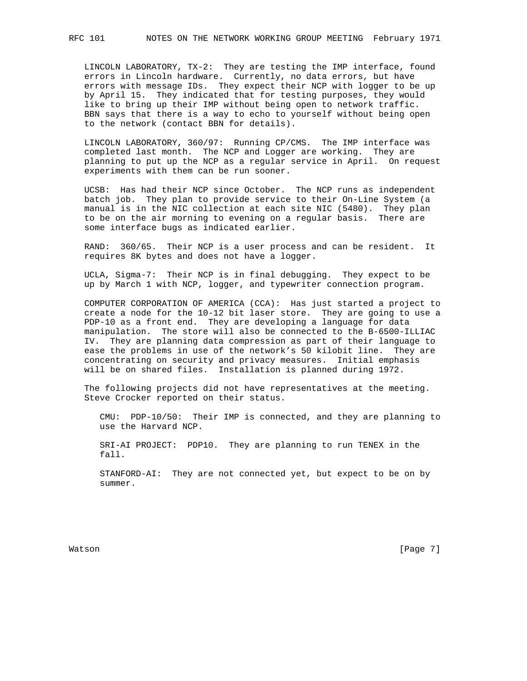LINCOLN LABORATORY, TX-2: They are testing the IMP interface, found errors in Lincoln hardware. Currently, no data errors, but have errors with message IDs. They expect their NCP with logger to be up by April 15. They indicated that for testing purposes, they would like to bring up their IMP without being open to network traffic. BBN says that there is a way to echo to yourself without being open to the network (contact BBN for details).

 LINCOLN LABORATORY, 360/97: Running CP/CMS. The IMP interface was completed last month. The NCP and Logger are working. They are planning to put up the NCP as a regular service in April. On request experiments with them can be run sooner.

 UCSB: Has had their NCP since October. The NCP runs as independent batch job. They plan to provide service to their On-Line System (a manual is in the NIC collection at each site NIC (5480). They plan to be on the air morning to evening on a regular basis. There are some interface bugs as indicated earlier.

 RAND: 360/65. Their NCP is a user process and can be resident. It requires 8K bytes and does not have a logger.

 UCLA, Sigma-7: Their NCP is in final debugging. They expect to be up by March 1 with NCP, logger, and typewriter connection program.

 COMPUTER CORPORATION OF AMERICA (CCA): Has just started a project to create a node for the 10-12 bit laser store. They are going to use a PDP-10 as a front end. They are developing a language for data manipulation. The store will also be connected to the B-6500-ILLIAC IV. They are planning data compression as part of their language to ease the problems in use of the network's 50 kilobit line. They are concentrating on security and privacy measures. Initial emphasis will be on shared files. Installation is planned during 1972.

 The following projects did not have representatives at the meeting. Steve Crocker reported on their status.

 CMU: PDP-10/50: Their IMP is connected, and they are planning to use the Harvard NCP.

 SRI-AI PROJECT: PDP10. They are planning to run TENEX in the fall.

 STANFORD-AI: They are not connected yet, but expect to be on by summer.

Watson [Page 7] National Contract of Contract of Contract of Contract of Contract of Contract of Contract of Contract of Contract of Contract of Contract of Contract of Contract of Contract of Contract of Contract of Contr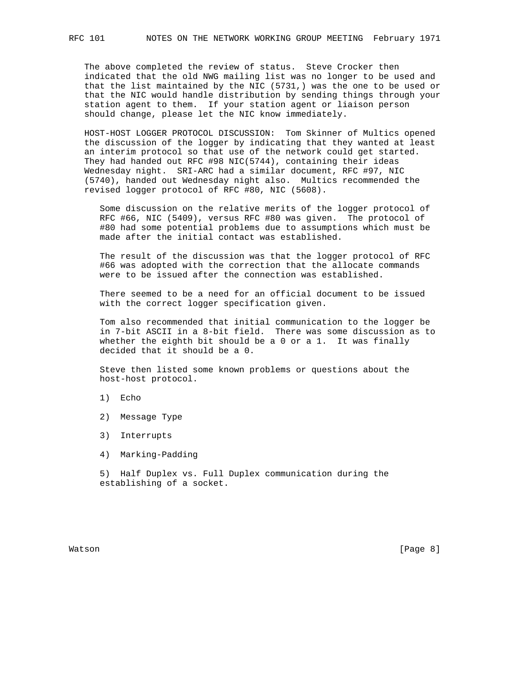The above completed the review of status. Steve Crocker then indicated that the old NWG mailing list was no longer to be used and that the list maintained by the NIC (5731,) was the one to be used or that the NIC would handle distribution by sending things through your station agent to them. If your station agent or liaison person should change, please let the NIC know immediately.

 HOST-HOST LOGGER PROTOCOL DISCUSSION: Tom Skinner of Multics opened the discussion of the logger by indicating that they wanted at least an interim protocol so that use of the network could get started. They had handed out RFC #98 NIC(5744), containing their ideas Wednesday night. SRI-ARC had a similar document, RFC #97, NIC (5740), handed out Wednesday night also. Multics recommended the revised logger protocol of RFC #80, NIC (5608).

 Some discussion on the relative merits of the logger protocol of RFC #66, NIC (5409), versus RFC #80 was given. The protocol of #80 had some potential problems due to assumptions which must be made after the initial contact was established.

 The result of the discussion was that the logger protocol of RFC #66 was adopted with the correction that the allocate commands were to be issued after the connection was established.

 There seemed to be a need for an official document to be issued with the correct logger specification given.

 Tom also recommended that initial communication to the logger be in 7-bit ASCII in a 8-bit field. There was some discussion as to whether the eighth bit should be a 0 or a 1. It was finally decided that it should be a 0.

 Steve then listed some known problems or questions about the host-host protocol.

- 1) Echo
- 2) Message Type
- 3) Interrupts
- 4) Marking-Padding

 5) Half Duplex vs. Full Duplex communication during the establishing of a socket.

Watson [Page 8]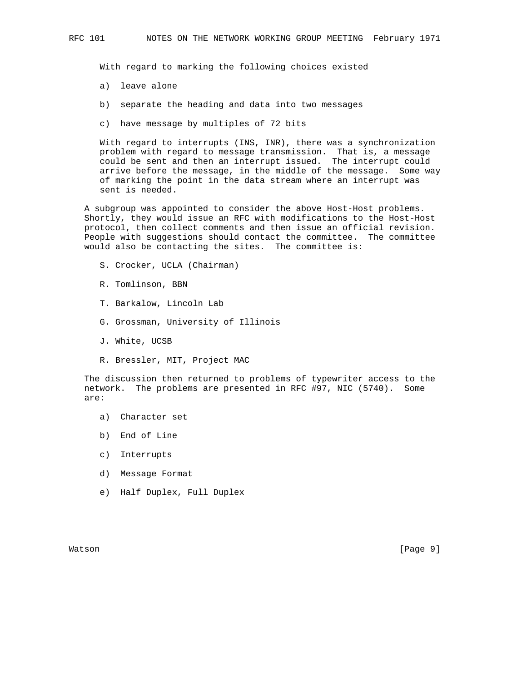With regard to marking the following choices existed

- a) leave alone
- b) separate the heading and data into two messages
- c) have message by multiples of 72 bits

 With regard to interrupts (INS, INR), there was a synchronization problem with regard to message transmission. That is, a message could be sent and then an interrupt issued. The interrupt could arrive before the message, in the middle of the message. Some way of marking the point in the data stream where an interrupt was sent is needed.

 A subgroup was appointed to consider the above Host-Host problems. Shortly, they would issue an RFC with modifications to the Host-Host protocol, then collect comments and then issue an official revision. People with suggestions should contact the committee. The committee would also be contacting the sites. The committee is:

- S. Crocker, UCLA (Chairman)
- R. Tomlinson, BBN
- T. Barkalow, Lincoln Lab
- G. Grossman, University of Illinois
- J. White, UCSB
- R. Bressler, MIT, Project MAC

 The discussion then returned to problems of typewriter access to the network. The problems are presented in RFC #97, NIC (5740). Some are:

- a) Character set
- b) End of Line
- c) Interrupts
- d) Message Format
- e) Half Duplex, Full Duplex

Watson [Page 9]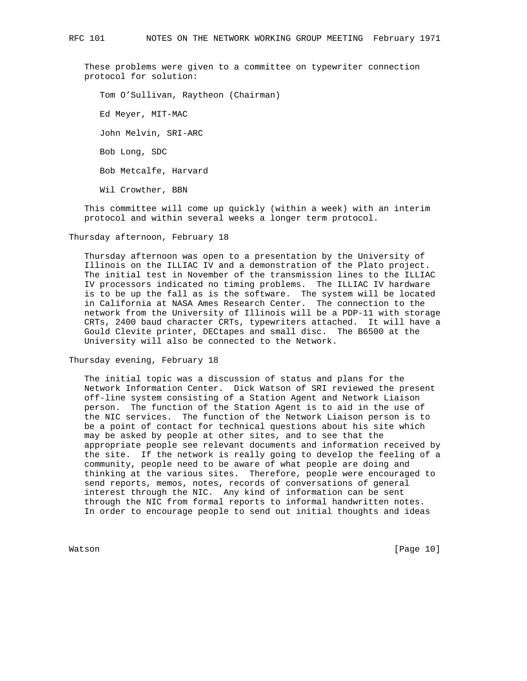These problems were given to a committee on typewriter connection protocol for solution:

 Tom O'Sullivan, Raytheon (Chairman) Ed Meyer, MIT-MAC John Melvin, SRI-ARC Bob Long, SDC Bob Metcalfe, Harvard Wil Crowther, BBN

 This committee will come up quickly (within a week) with an interim protocol and within several weeks a longer term protocol.

Thursday afternoon, February 18

 Thursday afternoon was open to a presentation by the University of Illinois on the ILLIAC IV and a demonstration of the Plato project. The initial test in November of the transmission lines to the ILLIAC IV processors indicated no timing problems. The ILLIAC IV hardware is to be up the fall as is the software. The system will be located in California at NASA Ames Research Center. The connection to the network from the University of Illinois will be a PDP-11 with storage CRTs, 2400 baud character CRTs, typewriters attached. It will have a Gould Clevite printer, DECtapes and small disc. The B6500 at the University will also be connected to the Network.

Thursday evening, February 18

 The initial topic was a discussion of status and plans for the Network Information Center. Dick Watson of SRI reviewed the present off-line system consisting of a Station Agent and Network Liaison person. The function of the Station Agent is to aid in the use of the NIC services. The function of the Network Liaison person is to be a point of contact for technical questions about his site which may be asked by people at other sites, and to see that the appropriate people see relevant documents and information received by the site. If the network is really going to develop the feeling of a community, people need to be aware of what people are doing and thinking at the various sites. Therefore, people were encouraged to send reports, memos, notes, records of conversations of general interest through the NIC. Any kind of information can be sent through the NIC from formal reports to informal handwritten notes. In order to encourage people to send out initial thoughts and ideas

Watson [Page 10]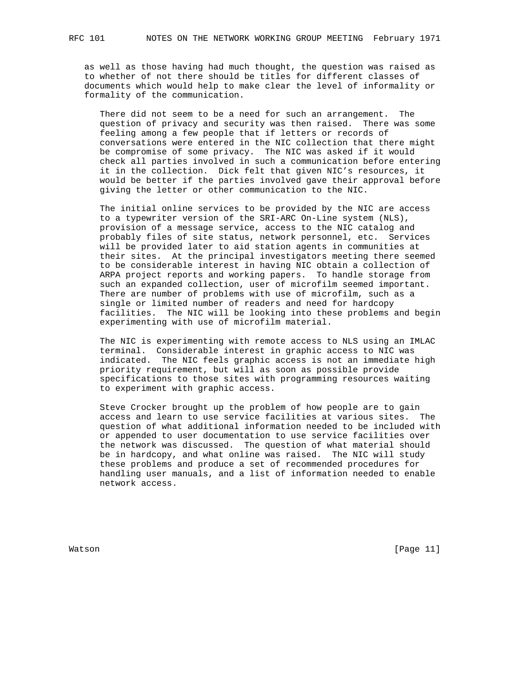as well as those having had much thought, the question was raised as to whether of not there should be titles for different classes of documents which would help to make clear the level of informality or formality of the communication.

 There did not seem to be a need for such an arrangement. The question of privacy and security was then raised. There was some feeling among a few people that if letters or records of conversations were entered in the NIC collection that there might be compromise of some privacy. The NIC was asked if it would check all parties involved in such a communication before entering it in the collection. Dick felt that given NIC's resources, it would be better if the parties involved gave their approval before giving the letter or other communication to the NIC.

 The initial online services to be provided by the NIC are access to a typewriter version of the SRI-ARC On-Line system (NLS), provision of a message service, access to the NIC catalog and probably files of site status, network personnel, etc. Services will be provided later to aid station agents in communities at their sites. At the principal investigators meeting there seemed to be considerable interest in having NIC obtain a collection of ARPA project reports and working papers. To handle storage from such an expanded collection, user of microfilm seemed important. There are number of problems with use of microfilm, such as a single or limited number of readers and need for hardcopy facilities. The NIC will be looking into these problems and begin experimenting with use of microfilm material.

 The NIC is experimenting with remote access to NLS using an IMLAC terminal. Considerable interest in graphic access to NIC was indicated. The NIC feels graphic access is not an immediate high priority requirement, but will as soon as possible provide specifications to those sites with programming resources waiting to experiment with graphic access.

 Steve Crocker brought up the problem of how people are to gain access and learn to use service facilities at various sites. The question of what additional information needed to be included with or appended to user documentation to use service facilities over the network was discussed. The question of what material should be in hardcopy, and what online was raised. The NIC will study these problems and produce a set of recommended procedures for handling user manuals, and a list of information needed to enable network access.

Watson [Page 11]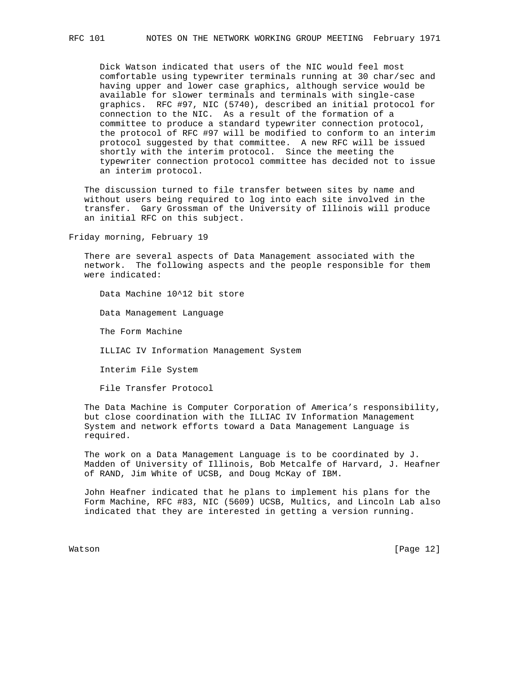Dick Watson indicated that users of the NIC would feel most comfortable using typewriter terminals running at 30 char/sec and having upper and lower case graphics, although service would be available for slower terminals and terminals with single-case graphics. RFC #97, NIC (5740), described an initial protocol for connection to the NIC. As a result of the formation of a committee to produce a standard typewriter connection protocol, the protocol of RFC #97 will be modified to conform to an interim protocol suggested by that committee. A new RFC will be issued shortly with the interim protocol. Since the meeting the typewriter connection protocol committee has decided not to issue an interim protocol.

 The discussion turned to file transfer between sites by name and without users being required to log into each site involved in the transfer. Gary Grossman of the University of Illinois will produce an initial RFC on this subject.

Friday morning, February 19

 There are several aspects of Data Management associated with the network. The following aspects and the people responsible for them were indicated:

Data Machine 10^12 bit store

Data Management Language

The Form Machine

ILLIAC IV Information Management System

Interim File System

File Transfer Protocol

 The Data Machine is Computer Corporation of America's responsibility, but close coordination with the ILLIAC IV Information Management System and network efforts toward a Data Management Language is required.

 The work on a Data Management Language is to be coordinated by J. Madden of University of Illinois, Bob Metcalfe of Harvard, J. Heafner of RAND, Jim White of UCSB, and Doug McKay of IBM.

 John Heafner indicated that he plans to implement his plans for the Form Machine, RFC #83, NIC (5609) UCSB, Multics, and Lincoln Lab also indicated that they are interested in getting a version running.

Watson [Page 12]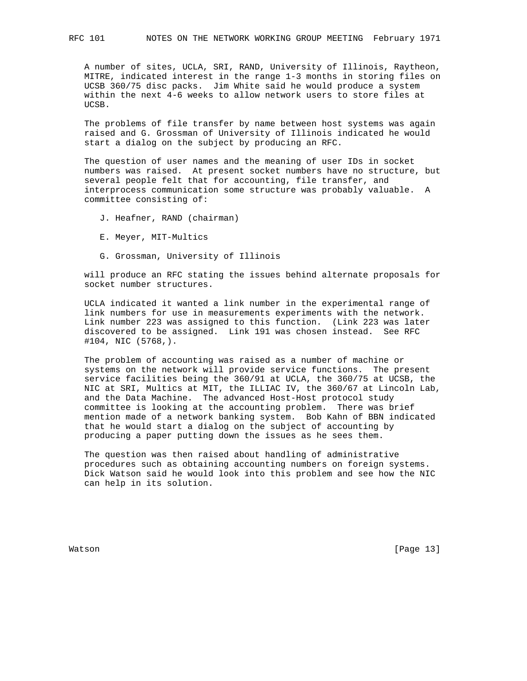A number of sites, UCLA, SRI, RAND, University of Illinois, Raytheon, MITRE, indicated interest in the range 1-3 months in storing files on UCSB 360/75 disc packs. Jim White said he would produce a system within the next 4-6 weeks to allow network users to store files at UCSB.

 The problems of file transfer by name between host systems was again raised and G. Grossman of University of Illinois indicated he would start a dialog on the subject by producing an RFC.

 The question of user names and the meaning of user IDs in socket numbers was raised. At present socket numbers have no structure, but several people felt that for accounting, file transfer, and interprocess communication some structure was probably valuable. A committee consisting of:

- J. Heafner, RAND (chairman)
- E. Meyer, MIT-Multics
- G. Grossman, University of Illinois

 will produce an RFC stating the issues behind alternate proposals for socket number structures.

 UCLA indicated it wanted a link number in the experimental range of link numbers for use in measurements experiments with the network. Link number 223 was assigned to this function. (Link 223 was later discovered to be assigned. Link 191 was chosen instead. See RFC #104, NIC (5768,).

 The problem of accounting was raised as a number of machine or systems on the network will provide service functions. The present service facilities being the 360/91 at UCLA, the 360/75 at UCSB, the NIC at SRI, Multics at MIT, the ILLIAC IV, the 360/67 at Lincoln Lab, and the Data Machine. The advanced Host-Host protocol study committee is looking at the accounting problem. There was brief mention made of a network banking system. Bob Kahn of BBN indicated that he would start a dialog on the subject of accounting by producing a paper putting down the issues as he sees them.

 The question was then raised about handling of administrative procedures such as obtaining accounting numbers on foreign systems. Dick Watson said he would look into this problem and see how the NIC can help in its solution.

Watson [Page 13]